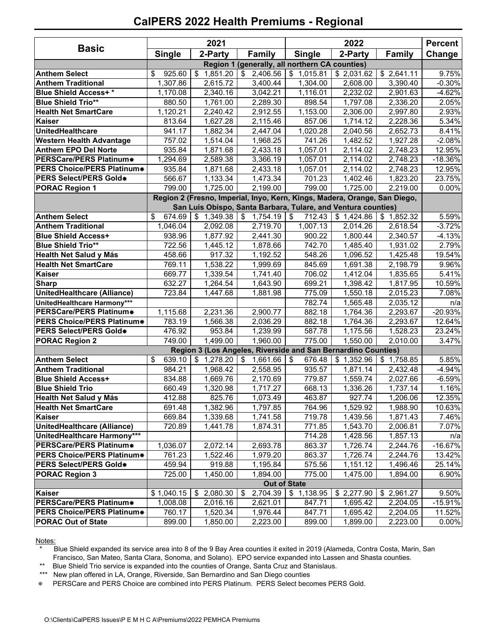## **CalPERS 2022 Health Premiums - Regional**

| <b>Basic</b>                      | 2021                |                |                                                                           | <b>Percent</b>       |            |               |           |
|-----------------------------------|---------------------|----------------|---------------------------------------------------------------------------|----------------------|------------|---------------|-----------|
|                                   | <b>Single</b>       | 2-Party        | <b>Family</b>                                                             | <b>Single</b>        | 2-Party    | <b>Family</b> | Change    |
|                                   |                     |                | Region 1 (generally, all northern CA counties)                            |                      |            |               |           |
| <b>Anthem Select</b>              | 925.60<br>\$        | \$1,851.20     | 2,406.56                                                                  | \$1,015.81           | \$2,031.62 | \$2,641.11    | 9.75%     |
| <b>Anthem Traditional</b>         | 1,307.86            | 2,615.72       | 3,400.44                                                                  | 1,304.00             | 2,608.00   | 3,390.40      | $-0.30%$  |
| <b>Blue Shield Access+*</b>       | 1,170.08            | 2,340.16       | 3,042.21                                                                  | 1,116.01             | 2,232.02   | 2,901.63      | $-4.62%$  |
| <b>Blue Shield Trio**</b>         | 880.50              | 1,761.00       | 2,289.30                                                                  | 898.54               | 1,797.08   | 2,336.20      | 2.05%     |
| <b>Health Net SmartCare</b>       | 1,120.21            | 2,240.42       | 2,912.55                                                                  | 1,153.00             | 2,306.00   | 2,997.80      | 2.93%     |
| <b>Kaiser</b>                     | 813.64              | 1,627.28       | 2,115.46                                                                  | 857.06               | 1,714.12   | 2,228.36      | 5.34%     |
| UnitedHealthcare                  | 941.17              | 1,882.34       | 2,447.04                                                                  | 1,020.28             | 2,040.56   | 2,652.73      | 8.41%     |
| <b>Western Health Advantage</b>   | 757.02              | 1,514.04       | 1,968.25                                                                  | 741.26               | 1,482.52   | 1,927.28      | $-2.08%$  |
| <b>Anthem EPO Del Norte</b>       | 935.84              | 1,871.68       | 2,433.18                                                                  | 1,057.01             | 2,114.02   | 2,748.23      | 12.95%    |
| PERSCare/PERS Platinum*           | 1,294.69            | 2,589.38       | 3,366.19                                                                  | 1,057.01             | 2,114.02   | 2,748.23      | $-18.36%$ |
| <b>PERS Choice/PERS Platinum*</b> | 935.84              | 1,871.68       | 2,433.18                                                                  | 1,057.01             | 2,114.02   | 2,748.23      | 12.95%    |
| PERS Select/PERS Gold*            | 566.67              | 1,133.34       | 1,473.34                                                                  | 701.23               | 1,402.46   | 1,823.20      | 23.75%    |
| <b>PORAC Region 1</b>             | 799.00              | 1,725.00       | 2,199.00                                                                  | 799.00               | 1,725.00   | 2,219.00      | 0.00%     |
|                                   |                     |                | Region 2 (Fresno, Imperial, Inyo, Kern, Kings, Madera, Orange, San Diego, |                      |            |               |           |
|                                   |                     |                | San Luis Obispo, Santa Barbara, Tulare, and Ventura counties)             |                      |            |               |           |
| <b>Anthem Select</b>              | 674.69<br>\$        | \$1,349.38     | \$<br>1,754.19                                                            | $\sqrt{3}$<br>712.43 | \$1,424.86 | \$1,852.32    | 5.59%     |
| <b>Anthem Traditional</b>         | 1,046.04            | 2,092.08       | 2,719.70                                                                  | 1,007.13             | 2,014.26   | 2,618.54      | $-3.72%$  |
| <b>Blue Shield Access+</b>        | 938.96              | 1,877.92       | 2,441.30                                                                  | 900.22               | 1,800.44   | 2,340.57      | $-4.13%$  |
| <b>Blue Shield Trio**</b>         | 722.56              | 1,445.12       | 1,878.66                                                                  | 742.70               | 1,485.40   | 1,931.02      | 2.79%     |
| Health Net Salud y Más            | 458.66              | 917.32         | 1,192.52                                                                  | 548.26               | 1,096.52   | 1,425.48      | 19.54%    |
| <b>Health Net SmartCare</b>       | 769.11              | 1,538.22       | 1,999.69                                                                  | 845.69               | 1,691.38   | 2,198.79      | 9.96%     |
| <b>Kaiser</b>                     | 669.77              | 1,339.54       | 1,741.40                                                                  | 706.02               | 1,412.04   | 1,835.65      | 5.41%     |
| <b>Sharp</b>                      | 632.27              | 1,264.54       | 1,643.90                                                                  | 699.21               | 1,398.42   | 1,817.95      | 10.59%    |
| UnitedHealthcare (Alliance)       | 723.84              | 1,447.68       | 1,881.98                                                                  | 775.09               | 1,550.18   | 2,015.23      | 7.08%     |
| UnitedHealthcare Harmony***       |                     |                |                                                                           | 782.74               | 1,565.48   | 2,035.12      | n/a       |
| PERSCare/PERS Platinum*           | 1,115.68            | 2,231.36       | 2,900.77                                                                  | 882.18               | 1,764.36   | 2,293.67      | -20.93%   |
| PERS Choice/PERS Platinum*        | 783.19              | 1,566.38       | 2,036.29                                                                  | 882.18               | 1,764.36   | 2,293.67      | 12.64%    |
| PERS Select/PERS Gold*            | 476.92              | 953.84         | 1,239.99                                                                  | 587.78               | 1,175.56   | 1,528.23      | 23.24%    |
| <b>PORAC Region 2</b>             | 749.00              | 1,499.00       | 1,960.00                                                                  | 775.00               | 1,550.00   | 2,010.00      | 3.47%     |
|                                   |                     |                | Region 3 (Los Angeles, Riverside and San Bernardino Counties)             |                      |            |               |           |
| <b>Anthem Select</b>              | \$<br>639.10        | 1,278.20<br>\$ | \$<br>1,661.66                                                            | \$<br>676.48         | \$1,352.96 | \$1,758.85    | 5.85%     |
| <b>Anthem Traditional</b>         | 984.21              | 1,968.42       | 2,558.95                                                                  | 935.57               | 1,871.14   | 2,432.48      | $-4.94%$  |
| <b>Blue Shield Access+</b>        | 834.88              | 1,669.76       | 2,170.69                                                                  | 779.87               | 1,559.74   | 2,027.66      | $-6.59%$  |
| <b>Blue Shield Trio</b>           | 660.49              | 1,320.98       | 1,717.27                                                                  | 668.13               | 1,336.26   | 1,737.14      | 1.16%     |
| Health Net Salud y Más            | 412.88              | 825.76         | 1,073.49                                                                  | 463.87               | 927.74     | 1,206.06      | 12.35%    |
| <b>Health Net SmartCare</b>       | 691.48              | 1,382.96       | 1,797.85                                                                  | 764.96               | 1,529.92   | 1,988.90      | 10.63%    |
| <b>Kaiser</b>                     | 669.84              | 1,339.68       | 1,741.58                                                                  | 719.78               | 1,439.56   | 1,871.43      | 7.46%     |
| UnitedHealthcare (Alliance)       | 720.89              | 1,441.78       | 1,874.31                                                                  | 771.85               | 1,543.70   | 2,006.81      | 7.07%     |
| UnitedHealthcare Harmony***       |                     |                |                                                                           | 714.28               | 1,428.56   | 1,857.13      | n/a       |
| PERSCare/PERS Platinum*           | 1,036.07            | 2,072.14       | 2,693.78                                                                  | 863.37               | 1,726.74   | 2,244.76      | $-16.67%$ |
| PERS Choice/PERS Platinum*        | 761.23              | 1,522.46       | $\overline{1,}979.20$                                                     | 863.37               | 1,726.74   | 2,244.76      | 13.42%    |
| PERS Select/PERS Gold*            | 459.94              | 919.88         | 1,195.84                                                                  | 575.56               | 1,151.12   | 1,496.46      | 25.14%    |
| <b>PORAC Region 3</b>             | 725.00              | 1,450.00       | 1,894.00                                                                  | 775.00               | 1,475.00   | 1,894.00      | 6.90%     |
|                                   | <b>Out of State</b> |                |                                                                           |                      |            |               |           |
| Kaiser<br>PERSCare/PERS Platinum* | \$1,040.15          | \$2,080.30     | 2,704.39<br>\$                                                            | \$1,138.95           | \$2,277.90 | \$2,961.27    | 9.50%     |
| PERS Choice/PERS Platinum*        | 1,008.08            | 2,016.16       | 2,621.01                                                                  | 847.71               | 1,695.42   | 2,204.05      | $-15.91%$ |
|                                   | 760.17              | 1,520.34       | 1,976.44                                                                  | 847.71               | 1,695.42   | 2,204.05      | 11.52%    |
| <b>PORAC Out of State</b>         | 899.00              | 1,850.00       | 2,223.00                                                                  | 899.00               | 1,899.00   | 2,223.00      | 0.00%     |

Notes:

Blue Shield expanded its service area into 8 of the 9 Bay Area counties it exited in 2019 (Alameda, Contra Costa, Marin, San Francisco, San Mateo, Santa Clara, Sonoma, and Solano). EPO service expanded into Lassen and Shasta counties.

\*\* Blue Shield Trio service is expanded into the counties of Orange, Santa Cruz and Stanislaus.<br>\*\*\* New plan offered in LA, Orange, Riverside, San Bernardino and San Diego counties

New plan offered in LA, Orange, Riverside, San Bernardino and San Diego counties

PERSCare and PERS Choice are combined into PERS Platinum. PERS Select becomes PERS Gold.